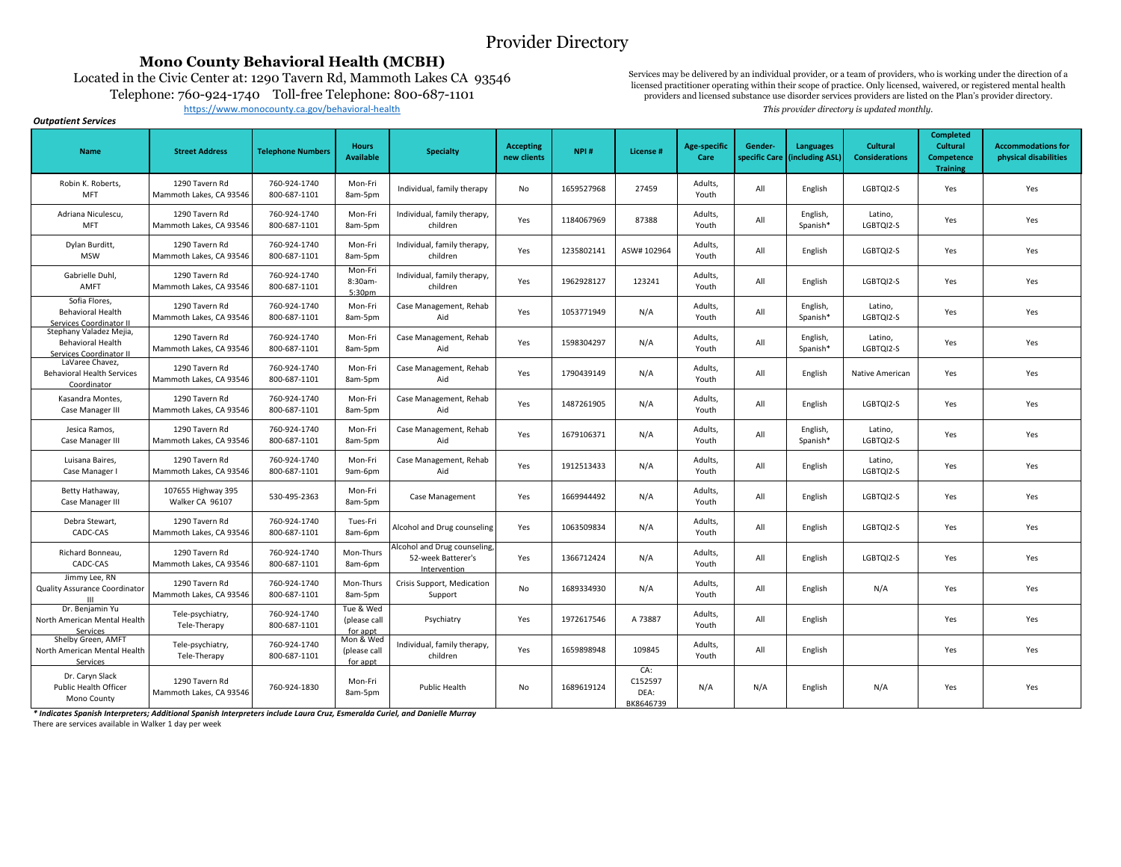## Provider Directory

### **Mono County Behavioral Health (MCBH)**

Located in the Civic Center at: 1290 Tavern Rd, Mammoth Lakes CA 93546 Telephone: 760-924-1740 Toll-free Telephone: 800-687-1101 [h](https://www.monocounty.ca.gov/behavioral-health)ttps://www.monocounty.ca.gov/behavioral-health **This provider directory is updated monthly.** 

Services may be delivered by an individual provider, or a team of providers, who is working under the direction of a licensed practitioner operating within their scope of practice. Only licensed, waivered, or registered mental health providers and licensed substance use disorder services providers are listed on the Plan's provider directory.

#### *Outpatient Services*

| <b>Name</b>                                                             | <b>Street Address</b>                     | <b>Telephone Numbers</b>     | <b>Hours</b><br><b>Available</b>      | <b>Specialty</b>                                                   | <b>Accepting</b><br>new clients | NPI#       | License #                           | <b>Age-specific</b><br>Care | Gender-<br>specific Care | <b>Languages</b><br>(including ASL) | <b>Cultural</b><br><b>Considerations</b> | <b>Completed</b><br><b>Cultural</b><br>Competence<br><b>Training</b> | <b>Accommodations for</b><br>physical disabilities |
|-------------------------------------------------------------------------|-------------------------------------------|------------------------------|---------------------------------------|--------------------------------------------------------------------|---------------------------------|------------|-------------------------------------|-----------------------------|--------------------------|-------------------------------------|------------------------------------------|----------------------------------------------------------------------|----------------------------------------------------|
| Robin K. Roberts,<br><b>MFT</b>                                         | 1290 Tavern Rd<br>Mammoth Lakes, CA 93546 | 760-924-1740<br>800-687-1101 | Mon-Fri<br>8am-5pm                    | Individual, family therapy                                         | No                              | 1659527968 | 27459                               | Adults,<br>Youth            | All                      | English                             | LGBTQI2-S                                | Yes                                                                  | Yes                                                |
| Adriana Niculescu.<br><b>MFT</b>                                        | 1290 Tavern Rd<br>Mammoth Lakes. CA 93546 | 760-924-1740<br>800-687-1101 | Mon-Fri<br>8am-5pm                    | Individual, family therapy,<br>children                            | Yes                             | 1184067969 | 87388                               | Adults,<br>Youth            | All                      | English,<br>Spanish*                | Latino,<br>LGBTOI2-S                     | Yes                                                                  | Yes                                                |
| Dylan Burditt,<br><b>MSW</b>                                            | 1290 Tavern Rd<br>Mammoth Lakes, CA 93546 | 760-924-1740<br>800-687-1101 | Mon-Fri<br>8am-5pm                    | Individual, family therapy,<br>children                            | Yes                             | 1235802141 | ASW# 102964                         | Adults,<br>Youth            | All                      | English                             | LGBTQI2-S                                | Yes                                                                  | Yes                                                |
| Gabrielle Duhl,<br>AMFT                                                 | 1290 Tavern Rd<br>Mammoth Lakes, CA 93546 | 760-924-1740<br>800-687-1101 | Mon-Fri<br>8:30am-<br>5:30pm          | Individual, family therapy,<br>children                            | Yes                             | 1962928127 | 123241                              | Adults,<br>Youth            | All                      | English                             | LGBTQI2-S                                | Yes                                                                  | Yes                                                |
| Sofia Flores,<br><b>Behavioral Health</b><br>Services Coordinator II    | 1290 Tavern Rd<br>Mammoth Lakes, CA 93546 | 760-924-1740<br>800-687-1101 | Mon-Fri<br>8am-5pm                    | Case Management, Rehab<br>Aid                                      | Yes                             | 1053771949 | N/A                                 | Adults,<br>Youth            | All                      | English,<br>Spanish*                | Latino,<br>LGBTQI2-S                     | Yes                                                                  | Yes                                                |
| Stephany Valadez Mejia,<br>Behavioral Health<br>Services Coordinator II | 1290 Tavern Rd<br>Mammoth Lakes, CA 93546 | 760-924-1740<br>800-687-1101 | Mon-Fri<br>8am-5pm                    | Case Management, Rehab<br>Aid                                      | Yes                             | 1598304297 | N/A                                 | Adults,<br>Youth            | All                      | English,<br>Spanish*                | Latino,<br>LGBTQI2-S                     | Yes                                                                  | Yes                                                |
| LaVaree Chavez,<br><b>Behavioral Health Services</b><br>Coordinator     | 1290 Tavern Rd<br>Mammoth Lakes, CA 93546 | 760-924-1740<br>800-687-1101 | Mon-Fri<br>8am-5pm                    | Case Management, Rehab<br>Aid                                      | Yes                             | 1790439149 | N/A                                 | Adults,<br>Youth            | All                      | English                             | Native American                          | Yes                                                                  | Yes                                                |
| Kasandra Montes,<br>Case Manager III                                    | 1290 Tavern Rd<br>Mammoth Lakes, CA 93546 | 760-924-1740<br>800-687-1101 | Mon-Fri<br>8am-5pm                    | Case Management, Rehab<br>Aid                                      | Yes                             | 1487261905 | N/A                                 | Adults,<br>Youth            | All                      | English                             | LGBTQI2-S                                | Yes                                                                  | Yes                                                |
| Jesica Ramos.<br>Case Manager III                                       | 1290 Tavern Rd<br>Mammoth Lakes, CA 93546 | 760-924-1740<br>800-687-1101 | Mon-Fri<br>8am-5pm                    | Case Management, Rehab<br>Aid                                      | Yes                             | 1679106371 | N/A                                 | Adults,<br>Youth            | All                      | English,<br>Spanish*                | Latino,<br>LGBTOI2-S                     | Yes                                                                  | Yes                                                |
| Luisana Baires,<br>Case Manager I                                       | 1290 Tavern Rd<br>Mammoth Lakes, CA 93546 | 760-924-1740<br>800-687-1101 | Mon-Fri<br>9am-6pm                    | Case Management, Rehab<br>Aid                                      | Yes                             | 1912513433 | N/A                                 | Adults,<br>Youth            | All                      | English                             | Latino,<br>LGBTQI2-S                     | Yes                                                                  | Yes                                                |
| Betty Hathaway,<br>Case Manager III                                     | 107655 Highway 395<br>Walker CA 96107     | 530-495-2363                 | Mon-Fri<br>8am-5pm                    | Case Management                                                    | Yes                             | 1669944492 | N/A                                 | Adults,<br>Youth            | All                      | English                             | LGBTQI2-S                                | Yes                                                                  | Yes                                                |
| Debra Stewart,<br>CADC-CAS                                              | 1290 Tavern Rd<br>Mammoth Lakes, CA 93546 | 760-924-1740<br>800-687-1101 | Tues-Fri<br>8am-6pm                   | Alcohol and Drug counseling                                        | Yes                             | 1063509834 | N/A                                 | Adults,<br>Youth            | All                      | English                             | LGBTQI2-S                                | Yes                                                                  | Yes                                                |
| Richard Bonneau,<br>CADC-CAS                                            | 1290 Tavern Rd<br>Mammoth Lakes, CA 93546 | 760-924-1740<br>800-687-1101 | Mon-Thurs<br>8am-6pm                  | Alcohol and Drug counseling,<br>52-week Batterer's<br>Intervention | Yes                             | 1366712424 | N/A                                 | Adults,<br>Youth            | All                      | English                             | LGBTQI2-S                                | Yes                                                                  | Yes                                                |
| Jimmy Lee, RN<br>Quality Assurance Coordinator                          | 1290 Tavern Rd<br>Mammoth Lakes, CA 93546 | 760-924-1740<br>800-687-1101 | Mon-Thurs<br>8am-5pm                  | Crisis Support, Medication<br>Support                              | No                              | 1689334930 | N/A                                 | Adults,<br>Youth            | All                      | English                             | N/A                                      | Yes                                                                  | Yes                                                |
| Dr. Benjamin Yu<br>North American Mental Health<br>Services             | Tele-psychiatry,<br>Tele-Therapy          | 760-924-1740<br>800-687-1101 | Tue & Wed<br>(please call<br>for appt | Psychiatry                                                         | Yes                             | 1972617546 | A 73887                             | Adults,<br>Youth            | All                      | English                             |                                          | Yes                                                                  | Yes                                                |
| Shelby Green, AMFT<br>North American Mental Health<br>Services          | Tele-psychiatry,<br>Tele-Therapy          | 760-924-1740<br>800-687-1101 | Mon & Wed<br>(please call<br>for appt | Individual, family therapy,<br>children                            | Yes                             | 1659898948 | 109845                              | Adults,<br>Youth            | All                      | English                             |                                          | Yes                                                                  | Yes                                                |
| Dr. Caryn Slack<br>Public Health Officer<br>Mono County                 | 1290 Tavern Rd<br>Mammoth Lakes, CA 93546 | 760-924-1830                 | Mon-Fri<br>8am-5pm                    | Public Health                                                      | No                              | 1689619124 | CA:<br>C152597<br>DEA:<br>BK8646739 | N/A                         | N/A                      | English                             | N/A                                      | Yes                                                                  | Yes                                                |

*\* Indicates Spanish Interpreters; Additional Spanish Interpreters include Laura Cruz, Esmeralda Curiel, and Danielle Murray*

There are services available in Walker 1 day per week